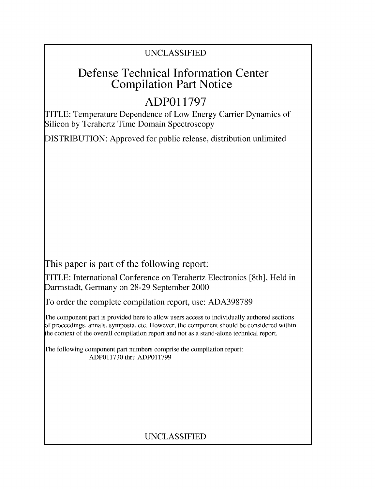## UNCLASSIFIED

## Defense Technical Information Center Compilation Part Notice

# **ADPO 11797**

TITLE: Temperature Dependence of Low Energy Carrier Dynamics of Silicon by Terahertz Time Domain Spectroscopy

DISTRIBUTION: Approved for public release, distribution unlimited

This paper is part of the following report:

TITLE: International Conference on Terahertz Electronics [8th], Held in Darmstadt, Germany on 28-29 September 2000

To order the complete compilation report, use: ADA398789

The component part is provided here to allow users access to individually authored sections f proceedings, annals, symposia, etc. However, the component should be considered within [he context of the overall compilation report and not as a stand-alone technical report.

The following component part numbers comprise the compilation report: ADPO11730 thru ADP011799

## UNCLASSIFIED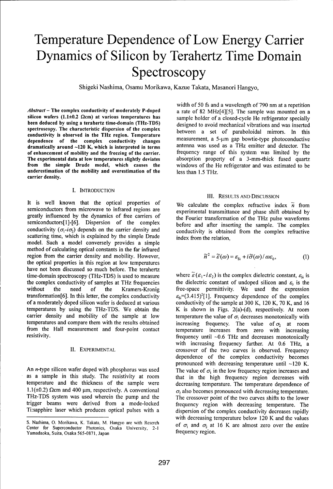# Temperature Dependence of Low Energy Carrier Dynamics of Silicon **by** Terahertz Time Domain Spectroscopy

Shigeki Nashima, Osamu Morikawa, Kazue Takata, Masanori Hangyo,

 $s$  is its convention wafers (1.1 $\pm$ 0.2  $\Omega$ cm) at various temperatures has sample holder of a closed-cycle He refrigerator specially been deduced by using a terahertz time-domain (THz-TDS) designed to avoid mechanical v spectroscopy. The characteristic dispersion of the complex between a set of paraboloidal mirrors. In this conductivity is characteristic dispersion  $\overline{X}$ conductivity is observed in the THz region. Temperature<br>dependence of the complex conductivity changes dependence of the complex conductivity changes measurement, a 5-µm gap bowtie-type photoconductive dramatically around ~120 K, which is interpreted in terms antenna was used as a THz emitter and detector. The of enhancement of mobility and the freezing of the carrier. frequency range of this system was limited by the<br>The experimental data at low temperatures slightly deviates absorption property of a 3-mm-thick fused quartz The experimental data at low temperatures slightly deviates absorption property of a 3-mm-thick fused quartz from the simple Drude model, which causes the windows of the He refrigerator and was estimated to be underestimation of the mobility and overestimation of the less than **1.5** THz. carrier density.

### I. INTRODUCTION

It is well known that the optical properties of We calculate the complex refractive index  $\tilde{n}$  from semiconductors from microwave to infrared regions are experimental transmittance and phase shift obtained by greatly influenced by the dynamics of free carriers of the Fourier transformation of the THz pulse waveforms semiconductors[1]-[6]. Dispersion of the complex before and after inserting the sample. The complex conductivity  $(\sigma_1 - i\sigma_2)$  depends on the carrier density and conductivity is obtained from the complex refractive scattering time, which is explained by the simple Drude index from the relation, model. Such a model conversely provides a simple method of calculating optical constants in the far infrared region from the carrier density and mobility. However, the optical properties in this region at low temperatures have not been discussed so much before. The terahertz time-domain spectroscopy (THz-TDS) is used to measure where  $\tilde{\varepsilon}(\varepsilon_1 - i\varepsilon_2)$  is the complex dielectric constant,  $\varepsilon_{si}$  is the complex conductivity of samples at THz frequencies the dielectric constant of undoped silicon and  $\varepsilon_0$  is the without the need of the Kramers-Kronig free-space permittivity. We used the expression transformation[6]. In this letter, the complex conductivity  $\varepsilon_{si}=(3.415)^2[1]$ . Frequency dependence of the complex of a moderately doped silicon wafer is deduced at various conductivity of the sample at 300 K, 120 K, 70 K, and 16 temperatures by using the THz-TDS. We obtain the K is shown in Figs. 2(a)-(d), respectively. At room carrier density and mobility of the sample at low temperature the value of  $\sigma_i$  decreases monotonically with temperatures and compare them with the results obtained increasing frequency. The value of  $\sigma_2$  at room from the Hall measurement and four-point contact temperature increases from zero with increasing

An *n*-type silicon wafer doped with phosphorus was used The value of  $\sigma_i$  in the low frequency region increases and as a sample in this study. The resistivity at room that in the high frequency region decreases with temperature and the thickness of the sample were decreasing temperature. The temperature dependence of 1.1( $\pm$ 0.2)  $\Omega$ cm and 400  $\mu$ m, respectively. A conventional  $\sigma$ <sub>2</sub> also becomes pronounced with decreasing temperature. THz-TDS system was used wherein the pump and the The crossover point of the two curves shifts to the lower trigger beams were derived from a mode-locked frequency region with decreasing temperature. The

width of 50 fs and a wavelength of 790 nm at a repetition *Abstract* – The complex conductivity of moderately P-doped a rate of 82 MHz[4][5]. The sample was mounted on a silicon wafers  $(1.1 \pm 0.2 \Omega \text{cm})$  at various temperatures has sample holder of a closed-cycle He refrigerato

### III. RESULTS AND DISCUSSION

$$
\widetilde{n}^2 = \widetilde{\varepsilon}(\omega) = \varepsilon_{\rm Si} + i\widetilde{\sigma}(\omega)/\omega\varepsilon_0, \tag{1}
$$

resistivity. The resistivity. The state of the state of the state of the state of the state of the state of the state of the state of the state of the state of the state of the state of the state of the state of the state with increasing frequency further. At 0.6 THz, a II. EXPERIMENTAL crossover of the two curves is observed. Frequency dependence of the complex conductivity becomes pronounced with decreasing temperature until  $\sim$ 120 K. Ti:sapphire laser which produces optical pulses with a dispersion of the complex conductivity decreases rapidly S. Nashima, O. Morikawa, K. Takata, M. Hangyo are with Reserch of  $\sigma_1$  and  $\sigma_2$  at 16 K are almost zero over the entire

Center for Superconductor Photonics, Osaka University, 2-1  $\frac{61}{1}$   $\frac{61}{1}$   $\frac{61}{1}$   $\frac{62}{1}$   $\frac{62}{1}$   $\frac{62}{1}$   $\frac{62}{1}$   $\frac{62}{1}$   $\frac{62}{1}$   $\frac{62}{1}$   $\frac{62}{1}$   $\frac{62}{1}$   $\frac{62}{1}$   $\frac{62}{1}$   $\frac{62}{1$ Yamadaoka, Suita, Osaka 565-0871, Japan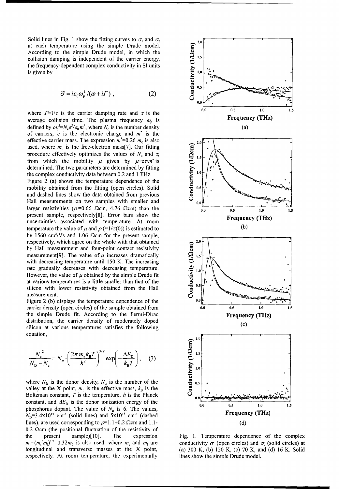Solid lines in Fig. 1 show the fitting curves to  $\sigma_1$  and  $\sigma_2$ at each temperature using the simple Drude model. According to the simple Drude model, in which the at each temperature using the simple Drude model.<br>According to the simple Drude model, in which the<br>collision damping is independent of the carrier energy,<br>the frequency-dependent complex conductivity in SI units<br>is given the frequency-dependent complex conductivity in SI units **1.0** is given by

$$
\widetilde{\sigma} = i\varepsilon_0 \omega_{\rm p}^2 / (\omega + i\Gamma) , \qquad (2) \qquad \qquad \widetilde{\sigma}^{\rm n} .
$$

where  $\Gamma = 1/\tau$  is the carrier damping rate and  $\tau$  is the **0.0** 0.5 1.0 1.5<br> **Expansion 1.6** 2.0 1.5 **1.0** 1.5 average collision time. The plasma frequency  $\omega_p$  is defined by  $\omega_p^2 = N_c e^2 / \varepsilon_0 m^*$ , where  $N_c$  is the number density (a) of carriers,  $e$  is the electronic charge and  $m^*$  is the effective carrier mass. The expression  $\vec{m}$  =0.26  $m_0$  is also used, where  $m_0$  is the free-electron mass[7]. Our fitting procedure effectively optimizes the values of  $N_c$  and  $\tau$ , from which the mobility  $\mu$  given by  $\mu = e \tau/m^*$  is determined. The two parameters are determined by fitting used, where  $m_0$  is the free-electron mass[7]. Our fitting<br>procedure effectively optimizes the values of  $N_c$  and  $\tau$ ,<br>from which the mobility  $\mu$  given by  $\mu = e \tau/m^*$  is<br>determined. The two parameters are determined b Figure 2 (a) shows the temperature dependence of the mobility obtained from the fitting (open circles). Solid and dashed lines show the data obtained from previous Hall measurements on two samples with smaller and  $\bigcup_{\theta}$ larger resistivities ( $\rho$ =0.66  $\Omega$ cm, 4.76  $\Omega$ cm) than the **0.0 1.5 1.0 1.5 1.0 1.5** present sample, respectively[8]. Error bars show the Frequency (THz) uncertainties associated with temperature. At room temperature the value of  $\mu$  and  $\rho (=1/\sigma(0))$  is estimated to (b) be 1560 cm<sup>2</sup>/Vs and 1.06  $\Omega$ cm for the present sample, respectively, which agree on the whole with that obtained<br>by Hall measurement and four-point contact resistivity<br>measurement[9]. The value of  $\mu$  increases dramatically<br>with decreasing temperature until 150 K. The increa by Hall measurement and four-point contact resistivity measurement<sup>[9]</sup>. The value of  $\mu$  increases dramatically with decreasing temperature until 150 K. The increasing rate gradually decreases with decreasing temperature. **-1.0**  However, the value of  $\mu$  obtained by the simple Drude fit at various temperatures is a little smaller than that of the **. .** silicon with lower resistivity obtained from the Hall

Figure 2 (b) displays the temperature dependence of the  $0.0$ carrier density (open circles) of the sample obtained from 0.0 0.5 1.0 1.5 the simple Drude fit. According to the Fermi-Dirac Frequency (THz) distribution, the carrier density of moderately doped silicon at various temperatures satisfies the following (c) equation, **2.0**

measurement.

$$
\frac{N_c^2}{N_D - N_c} = N_{\nu} \cdot \left(\frac{2\pi m_n k_B T}{h^2}\right)^{3/2} \exp\left(-\frac{\Delta E_D}{k_B T}\right),
$$
 (3)  
where  $N_D$  is the donor density,  $N_{\nu}$  is the number of the  
valley at the X point,  $m_n$  is the effective mass,  $k_B$  is the

valley at the X point,  $m_n$  is the effective mass,  $k_B$  is the Boltzman constant,  $T$  is the temperature,  $h$  is the Planck constant, and  $\Delta E_{\text{D}}$  is the donor ionization energy of the  $\frac{0.0 \text{ m/s}}{0.0 \text{ m/s}} \approx 0.5 \frac{1.0 \text{ m}}{1.0 \text{ m/s}}$ phosphorus dopant. The value of  $N_{v}$  is 6. The values,  $N_D$ =3.4x10<sup>15</sup> cm<sup>-3</sup> (solid lines) and 5x10<sup>15</sup> cm<sup>-3</sup> (dashed **Frequency (THz)** lines), are used corresponding to  $\rho=1.1+0.2$  Qcm and 1.1- (d) 0.2  $\Omega$ cm (the positional fluctuation of the resistivity of the present sample)[10]. The expression Fig. 1. Temperature dependence of the complex  $m_n = (m_t^2 m_l)^{1/3} = 0.32 m_0$  is also used, where  $m_t$  and  $m_l$  are longitudinal and transverse masses at the X point, (a) 300 K, (b) 120 K, (c) 70 K, and (d) 16 K. Solid respectively. At room temperature, the experimentally lines show the simple Drude model.



conductivity  $\sigma_1$  (open circles) and  $\sigma_2$  (solid circles) at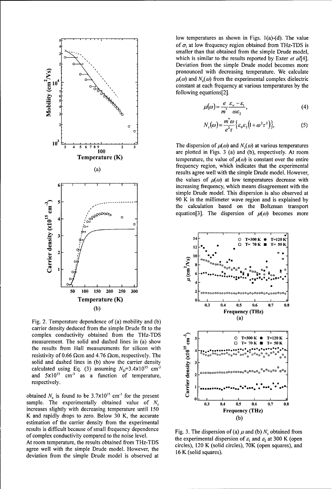

Fig. 2. Temperature dependence of (a) mobility and (b) carrier density deduced from the simple Drude fit to the complex conductivity obtained from the THz-TDS measurement. The solid and dashed lines in (a) show the results from Hall measurements for silicon with resistivity of 0.66  $\Omega$ cm and 4.76  $\Omega$ cm, respectively. The solid and dashed lines in (b) show the carrier density calculated using Eq. (3) assuming  $N_D$ =3.4x10<sup>15</sup> cm<sup>-3</sup> and  $5 \times 10^{15}$  cm<sup>-3</sup> as a function of temperature, respectively.

obtained N<sub>c</sub> is found to be  $3.7 \times 10^{15}$  cm<sup>-3</sup> for the present sample. The experimentally obtained value of  $N_c$ increases slightly with decreasing temperature until 150 K and rapidly drops to zero. Below 30 K, the accurate estimation of the carrier density from the experimental results is difficult because of small frequency dependence of complex conductivity compared to the noise level.

At room temperature, the results obtained from THz-TDS agree well with the simple Drude model. However, the deviation from the simple Drude model is observed at

low temperatures as shown in Figs. 1(a)-(d). The value of  $\sigma_1$  at low frequency region obtained from THz-TDS is smaller than that obtained from the simple Drude model, which is similar to the results reported by Exter et al[4]. Deviation from the simple Drude model becomes more pronounced with decreasing temperature. We calculate  $\mu(\omega)$  and  $N_c(\omega)$  from the experimental complex dielectric constant at each frequency at various temperatures by the following equations[2].

$$
\mu(\omega) = \frac{e}{m^*} \frac{\varepsilon_{\infty} - \varepsilon_1}{\omega \varepsilon_2},\tag{4}
$$

$$
N_c(\omega) = \frac{m^*\omega}{e^2\tau} \left\{ \varepsilon_0 \varepsilon_2 \left( 1 + \omega^2 \tau^2 \right) \right\},\tag{5}
$$

The dispersion of  $\mu(\omega)$  and  $N_c(\omega)$  at various temperatures are plotted in Figs. 3 (a) and (b), respectively. At room temperature, the value of  $\mu(\omega)$  is constant over the entire frequency region, which indicates that the experimental results agree well with the simple Drude model. However, the values of  $u(\omega)$  at low temperatures decrease with increasing frequency, which means disagreement with the simple Drude model. This dispersion is also observed at 90 K in the millimeter wave region and is explained by the calculation based on the Boltzman transport equation [3]. The dispersion of  $\mu(\omega)$  becomes more



Fig. 3. The dispersion of (a)  $\mu$  and (b)  $N_c$  obtained from the experimental dispersion of  $\varepsilon_1$  and  $\varepsilon_2$  at 300 K (open circles), 120 K (solid circles), 70K (open squares), and 16 K (solid squares).